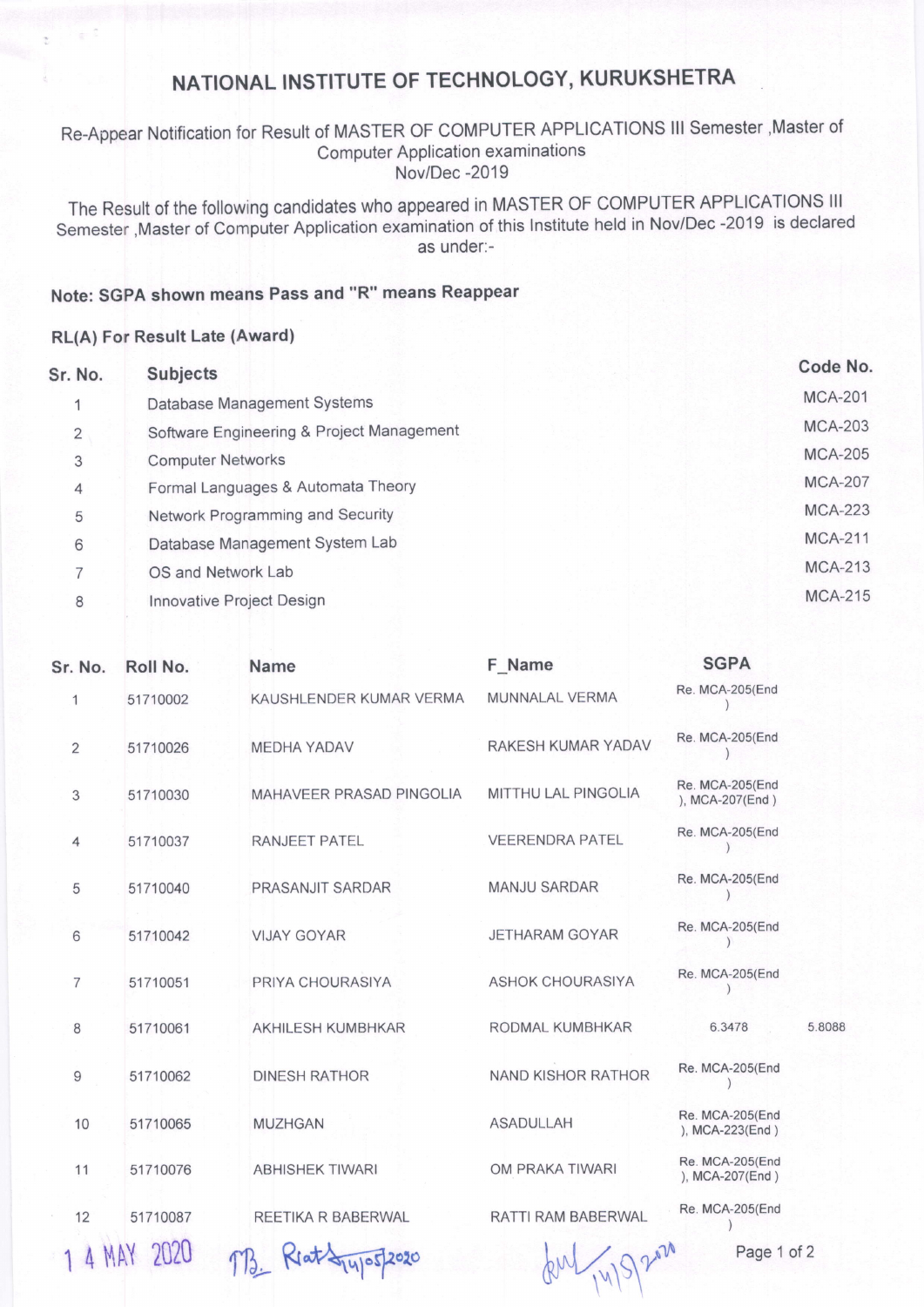# NATIONAL INSTITUTE OF TECHNOLOGY, KURUKSHETRA

#### Re-Appear Notification for Result of MASTER OF COMPUTER APPLICATIONS lll Semester ,Master of Computer Application examinations Nov/Dec -2019

The Result of the following candidates who appeared in MASTER OF COMPUTER APPLICATIONS lll Semester ,Master of Compiter Application examination of this lnstitute held in Nov/Dec -2019 is declared as under:-

### Note: SGPA shown means Pass and "R" means Reappear

#### RL(A) For Result Late (Award)

| Sr. No.        | <b>Subjects</b>                           | Code No.       |
|----------------|-------------------------------------------|----------------|
|                | Database Management Systems               | <b>MCA-201</b> |
| $\overline{2}$ | Software Engineering & Project Management | <b>MCA-203</b> |
| 3              | <b>Computer Networks</b>                  | <b>MCA-205</b> |
| 4              | Formal Languages & Automata Theory        | <b>MCA-207</b> |
| 5              | Network Programming and Security          | <b>MCA-223</b> |
| 6              | Database Management System Lab            | <b>MCA-211</b> |
| 7              | OS and Network Lab                        | <b>MCA-213</b> |
| 8              | Innovative Project Design                 | <b>MCA-215</b> |
|                |                                           |                |

| Sr. No.        | Roll No. | <b>Name</b>              | F Name                     | <b>SGPA</b>                        |        |
|----------------|----------|--------------------------|----------------------------|------------------------------------|--------|
| 1              | 51710002 | KAUSHLENDER KUMAR VERMA  | <b>MUNNALAL VERMA</b>      | Re. MCA-205(End                    |        |
| $\overline{2}$ | 51710026 | <b>MEDHA YADAV</b>       | RAKESH KUMAR YADAV         | Re. MCA-205(End                    |        |
| 3              | 51710030 | MAHAVEER PRASAD PINGOLIA | <b>MITTHU LAL PINGOLIA</b> | Re. MCA-205(End<br>), MCA-207(End) |        |
| 4              | 51710037 | <b>RANJEET PATEL</b>     | <b>VEERENDRA PATEL</b>     | Re. MCA-205(End                    |        |
| 5              | 51710040 | PRASANJIT SARDAR         | <b>MANJU SARDAR</b>        | Re. MCA-205(End                    |        |
| 6              | 51710042 | <b>VIJAY GOYAR</b>       | <b>JETHARAM GOYAR</b>      | Re. MCA-205(End                    |        |
| 7              | 51710051 | PRIYA CHOURASIYA         | <b>ASHOK CHOURASIYA</b>    | Re. MCA-205(End                    |        |
| 8              | 51710061 | <b>AKHILESH KUMBHKAR</b> | RODMAL KUMBHKAR            | 6.3478                             | 5.8088 |
| 9              | 51710062 | <b>DINESH RATHOR</b>     | NAND KISHOR RATHOR         | Re. MCA-205(End                    |        |
| 10             | 51710065 | <b>MUZHGAN</b>           | <b>ASADULLAH</b>           | Re. MCA-205(End<br>), MCA-223(End) |        |
| 11             | 51710076 | <b>ABHISHEK TIWARI</b>   | OM PRAKA TIWARI            | Re. MCA-205(End<br>), MCA-207(End) |        |
| 12             | 51710087 | REETIKA R BABERWAL       | RATTI RAM BABERWAL         | Re. MCA-205(End                    |        |
|                | 2020     | lat<br>5141052020        |                            | Page 1 of 2                        |        |